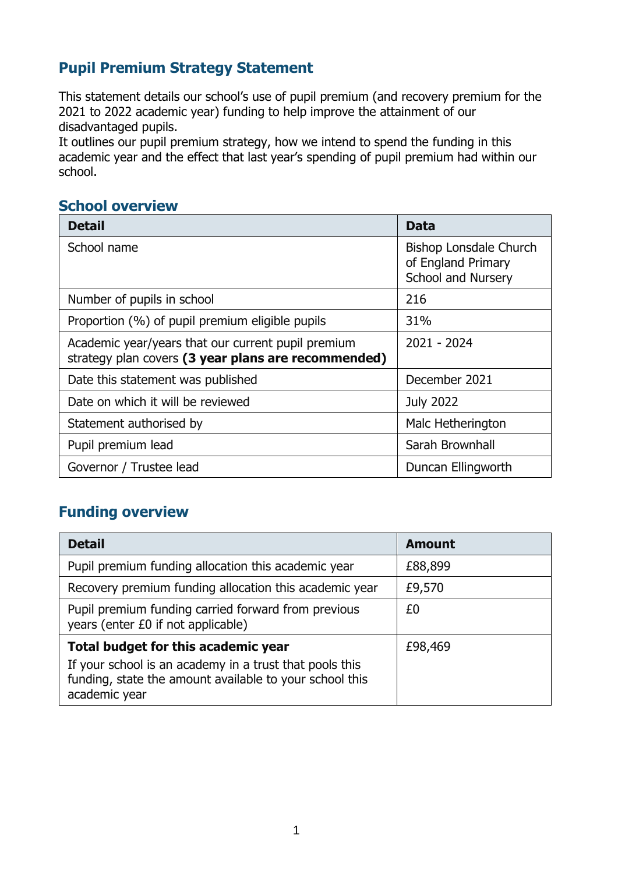## **Pupil Premium Strategy Statement**

This statement details our school's use of pupil premium (and recovery premium for the 2021 to 2022 academic year) funding to help improve the attainment of our disadvantaged pupils.

It outlines our pupil premium strategy, how we intend to spend the funding in this academic year and the effect that last year's spending of pupil premium had within our school.

#### **School overview**

| <b>Detail</b>                                                                                             | Data                                                                             |
|-----------------------------------------------------------------------------------------------------------|----------------------------------------------------------------------------------|
| School name                                                                                               | <b>Bishop Lonsdale Church</b><br>of England Primary<br><b>School and Nursery</b> |
| Number of pupils in school                                                                                | 216                                                                              |
| Proportion (%) of pupil premium eligible pupils                                                           | 31%                                                                              |
| Academic year/years that our current pupil premium<br>strategy plan covers (3 year plans are recommended) | 2021 - 2024                                                                      |
| Date this statement was published                                                                         | December 2021                                                                    |
| Date on which it will be reviewed                                                                         | <b>July 2022</b>                                                                 |
| Statement authorised by                                                                                   | Malc Hetherington                                                                |
| Pupil premium lead                                                                                        | Sarah Brownhall                                                                  |
| Governor / Trustee lead                                                                                   | Duncan Ellingworth                                                               |

### **Funding overview**

| <b>Detail</b>                                                                                                                       | <b>Amount</b> |
|-------------------------------------------------------------------------------------------------------------------------------------|---------------|
| Pupil premium funding allocation this academic year                                                                                 | £88,899       |
| Recovery premium funding allocation this academic year                                                                              | £9,570        |
| Pupil premium funding carried forward from previous<br>years (enter £0 if not applicable)                                           | £0            |
| Total budget for this academic year                                                                                                 | £98,469       |
| If your school is an academy in a trust that pools this<br>funding, state the amount available to your school this<br>academic year |               |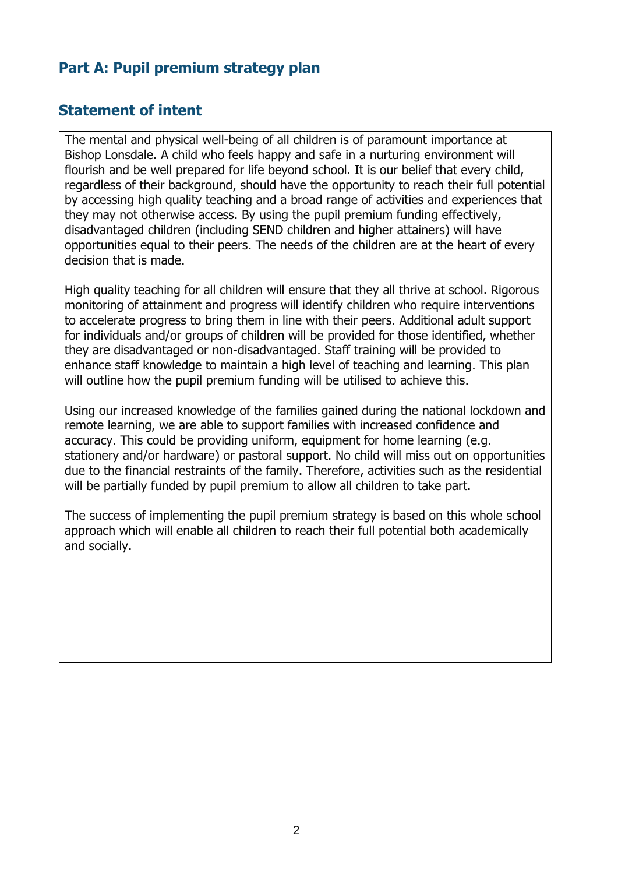### **Part A: Pupil premium strategy plan**

#### **Statement of intent**

The mental and physical well-being of all children is of paramount importance at Bishop Lonsdale. A child who feels happy and safe in a nurturing environment will flourish and be well prepared for life beyond school. It is our belief that every child, regardless of their background, should have the opportunity to reach their full potential by accessing high quality teaching and a broad range of activities and experiences that they may not otherwise access. By using the pupil premium funding effectively, disadvantaged children (including SEND children and higher attainers) will have opportunities equal to their peers. The needs of the children are at the heart of every decision that is made.

High quality teaching for all children will ensure that they all thrive at school. Rigorous monitoring of attainment and progress will identify children who require interventions to accelerate progress to bring them in line with their peers. Additional adult support for individuals and/or groups of children will be provided for those identified, whether they are disadvantaged or non-disadvantaged. Staff training will be provided to enhance staff knowledge to maintain a high level of teaching and learning. This plan will outline how the pupil premium funding will be utilised to achieve this.

Using our increased knowledge of the families gained during the national lockdown and remote learning, we are able to support families with increased confidence and accuracy. This could be providing uniform, equipment for home learning (e.g. stationery and/or hardware) or pastoral support. No child will miss out on opportunities due to the financial restraints of the family. Therefore, activities such as the residential will be partially funded by pupil premium to allow all children to take part.

The success of implementing the pupil premium strategy is based on this whole school approach which will enable all children to reach their full potential both academically and socially.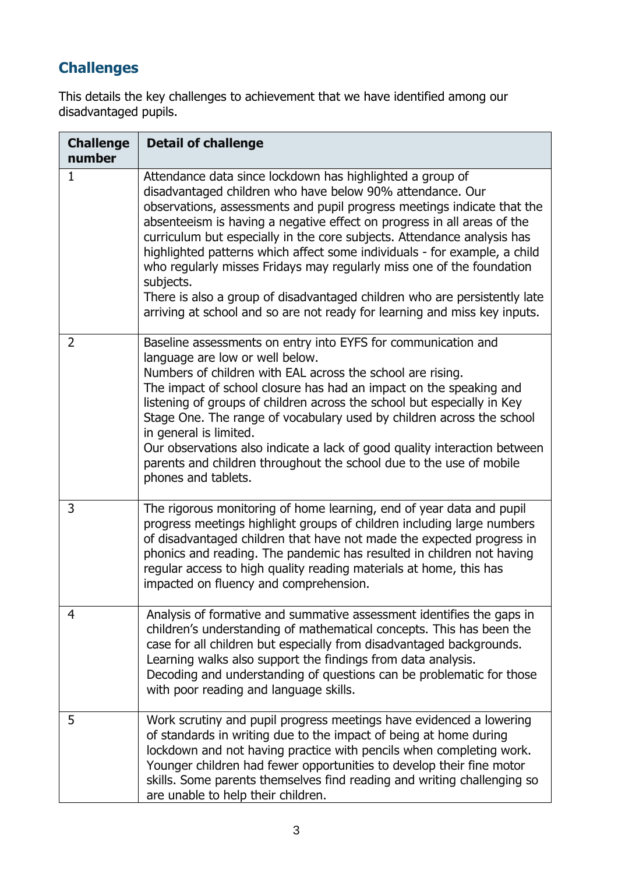# **Challenges**

This details the key challenges to achievement that we have identified among our disadvantaged pupils.

| <b>Challenge</b><br>number | <b>Detail of challenge</b>                                                                                                                                                                                                                                                                                                                                                                                                                                                                                                                                                                                                                                                           |
|----------------------------|--------------------------------------------------------------------------------------------------------------------------------------------------------------------------------------------------------------------------------------------------------------------------------------------------------------------------------------------------------------------------------------------------------------------------------------------------------------------------------------------------------------------------------------------------------------------------------------------------------------------------------------------------------------------------------------|
| 1                          | Attendance data since lockdown has highlighted a group of<br>disadvantaged children who have below 90% attendance. Our<br>observations, assessments and pupil progress meetings indicate that the<br>absenteeism is having a negative effect on progress in all areas of the<br>curriculum but especially in the core subjects. Attendance analysis has<br>highlighted patterns which affect some individuals - for example, a child<br>who regularly misses Fridays may regularly miss one of the foundation<br>subjects.<br>There is also a group of disadvantaged children who are persistently late<br>arriving at school and so are not ready for learning and miss key inputs. |
| $\overline{2}$             | Baseline assessments on entry into EYFS for communication and<br>language are low or well below.<br>Numbers of children with EAL across the school are rising.<br>The impact of school closure has had an impact on the speaking and<br>listening of groups of children across the school but especially in Key<br>Stage One. The range of vocabulary used by children across the school<br>in general is limited.<br>Our observations also indicate a lack of good quality interaction between<br>parents and children throughout the school due to the use of mobile<br>phones and tablets.                                                                                        |
| 3                          | The rigorous monitoring of home learning, end of year data and pupil<br>progress meetings highlight groups of children including large numbers<br>of disadvantaged children that have not made the expected progress in<br>phonics and reading. The pandemic has resulted in children not having<br>regular access to high quality reading materials at home, this has<br>impacted on fluency and comprehension.                                                                                                                                                                                                                                                                     |
| 4                          | Analysis of formative and summative assessment identifies the gaps in<br>children's understanding of mathematical concepts. This has been the<br>case for all children but especially from disadvantaged backgrounds.<br>Learning walks also support the findings from data analysis.<br>Decoding and understanding of questions can be problematic for those<br>with poor reading and language skills.                                                                                                                                                                                                                                                                              |
| 5                          | Work scrutiny and pupil progress meetings have evidenced a lowering<br>of standards in writing due to the impact of being at home during<br>lockdown and not having practice with pencils when completing work.<br>Younger children had fewer opportunities to develop their fine motor<br>skills. Some parents themselves find reading and writing challenging so<br>are unable to help their children.                                                                                                                                                                                                                                                                             |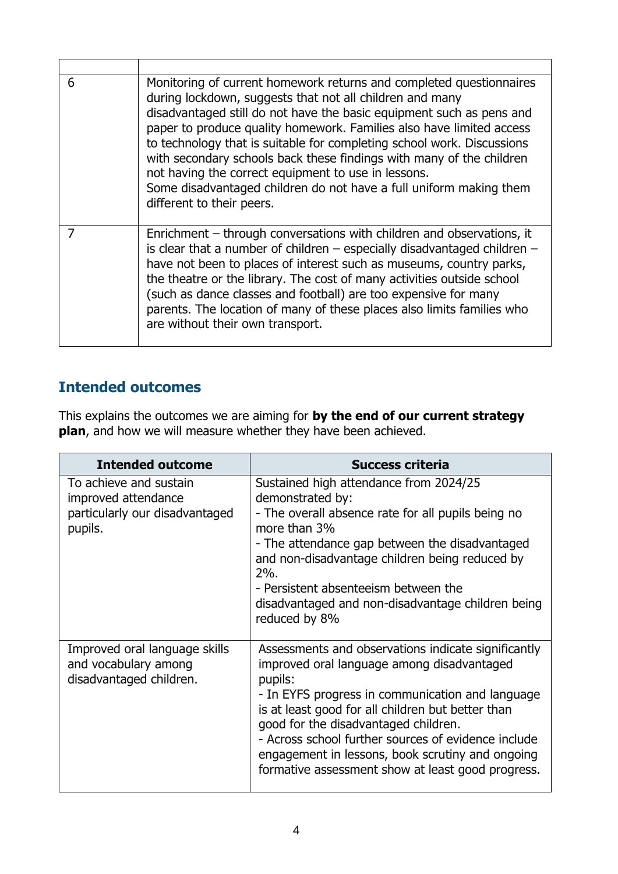| 6 | Monitoring of current homework returns and completed questionnaires<br>during lockdown, suggests that not all children and many<br>disadvantaged still do not have the basic equipment such as pens and<br>paper to produce quality homework. Families also have limited access<br>to technology that is suitable for completing school work. Discussions<br>with secondary schools back these findings with many of the children<br>not having the correct equipment to use in lessons.<br>Some disadvantaged children do not have a full uniform making them<br>different to their peers. |
|---|---------------------------------------------------------------------------------------------------------------------------------------------------------------------------------------------------------------------------------------------------------------------------------------------------------------------------------------------------------------------------------------------------------------------------------------------------------------------------------------------------------------------------------------------------------------------------------------------|
|   | Enrichment – through conversations with children and observations, it<br>is clear that a number of children $-$ especially disadvantaged children $-$<br>have not been to places of interest such as museums, country parks,<br>the theatre or the library. The cost of many activities outside school<br>(such as dance classes and football) are too expensive for many<br>parents. The location of many of these places also limits families who<br>are without their own transport.                                                                                                     |

# **Intended outcomes**

This explains the outcomes we are aiming for **by the end of our current strategy plan**, and how we will measure whether they have been achieved.

| <b>Intended outcome</b>                                                                    | <b>Success criteria</b>                                                                                                                                                                                                                                                                                                                                                                                                       |
|--------------------------------------------------------------------------------------------|-------------------------------------------------------------------------------------------------------------------------------------------------------------------------------------------------------------------------------------------------------------------------------------------------------------------------------------------------------------------------------------------------------------------------------|
| To achieve and sustain<br>improved attendance<br>particularly our disadvantaged<br>pupils. | Sustained high attendance from 2024/25<br>demonstrated by:<br>- The overall absence rate for all pupils being no<br>more than 3%<br>- The attendance gap between the disadvantaged<br>and non-disadvantage children being reduced by<br>$2\%$ .<br>- Persistent absenteeism between the<br>disadvantaged and non-disadvantage children being<br>reduced by 8%                                                                 |
| Improved oral language skills<br>and vocabulary among<br>disadvantaged children.           | Assessments and observations indicate significantly<br>improved oral language among disadvantaged<br>pupils:<br>- In EYFS progress in communication and language<br>is at least good for all children but better than<br>good for the disadvantaged children.<br>- Across school further sources of evidence include<br>engagement in lessons, book scrutiny and ongoing<br>formative assessment show at least good progress. |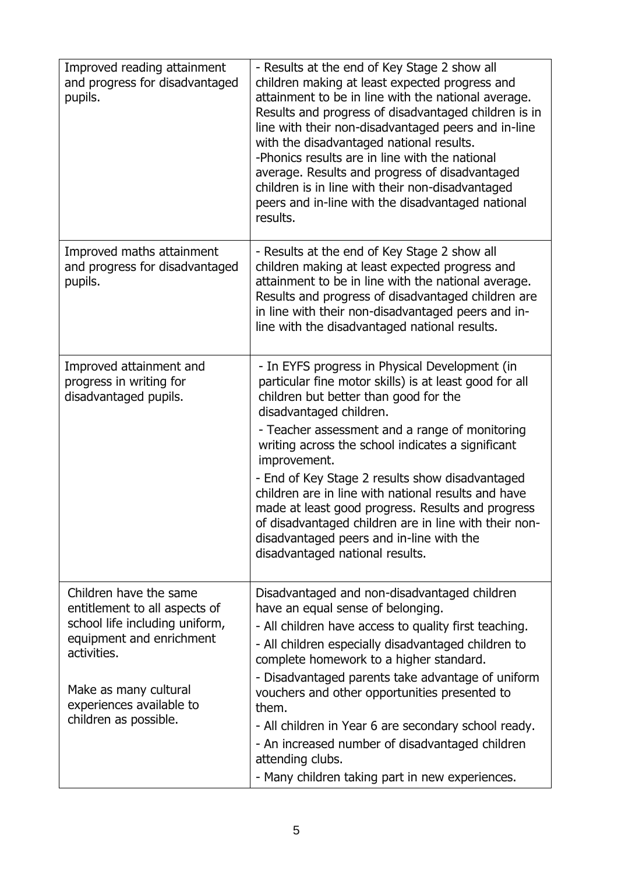| Improved reading attainment<br>and progress for disadvantaged<br>pupils.                                                                                                                                           | - Results at the end of Key Stage 2 show all<br>children making at least expected progress and<br>attainment to be in line with the national average.<br>Results and progress of disadvantaged children is in<br>line with their non-disadvantaged peers and in-line<br>with the disadvantaged national results.<br>-Phonics results are in line with the national<br>average. Results and progress of disadvantaged<br>children is in line with their non-disadvantaged<br>peers and in-line with the disadvantaged national<br>results.                                                                  |
|--------------------------------------------------------------------------------------------------------------------------------------------------------------------------------------------------------------------|------------------------------------------------------------------------------------------------------------------------------------------------------------------------------------------------------------------------------------------------------------------------------------------------------------------------------------------------------------------------------------------------------------------------------------------------------------------------------------------------------------------------------------------------------------------------------------------------------------|
| Improved maths attainment<br>and progress for disadvantaged<br>pupils.                                                                                                                                             | - Results at the end of Key Stage 2 show all<br>children making at least expected progress and<br>attainment to be in line with the national average.<br>Results and progress of disadvantaged children are<br>in line with their non-disadvantaged peers and in-<br>line with the disadvantaged national results.                                                                                                                                                                                                                                                                                         |
| Improved attainment and<br>progress in writing for<br>disadvantaged pupils.                                                                                                                                        | - In EYFS progress in Physical Development (in<br>particular fine motor skills) is at least good for all<br>children but better than good for the<br>disadvantaged children.<br>- Teacher assessment and a range of monitoring<br>writing across the school indicates a significant<br>improvement.<br>- End of Key Stage 2 results show disadvantaged<br>children are in line with national results and have<br>made at least good progress. Results and progress<br>of disadvantaged children are in line with their non-<br>disadvantaged peers and in-line with the<br>disadvantaged national results. |
| Children have the same<br>entitlement to all aspects of<br>school life including uniform,<br>equipment and enrichment<br>activities.<br>Make as many cultural<br>experiences available to<br>children as possible. | Disadvantaged and non-disadvantaged children<br>have an equal sense of belonging.<br>- All children have access to quality first teaching.<br>- All children especially disadvantaged children to<br>complete homework to a higher standard.<br>- Disadvantaged parents take advantage of uniform<br>vouchers and other opportunities presented to<br>them.<br>- All children in Year 6 are secondary school ready.<br>- An increased number of disadvantaged children<br>attending clubs.<br>- Many children taking part in new experiences.                                                              |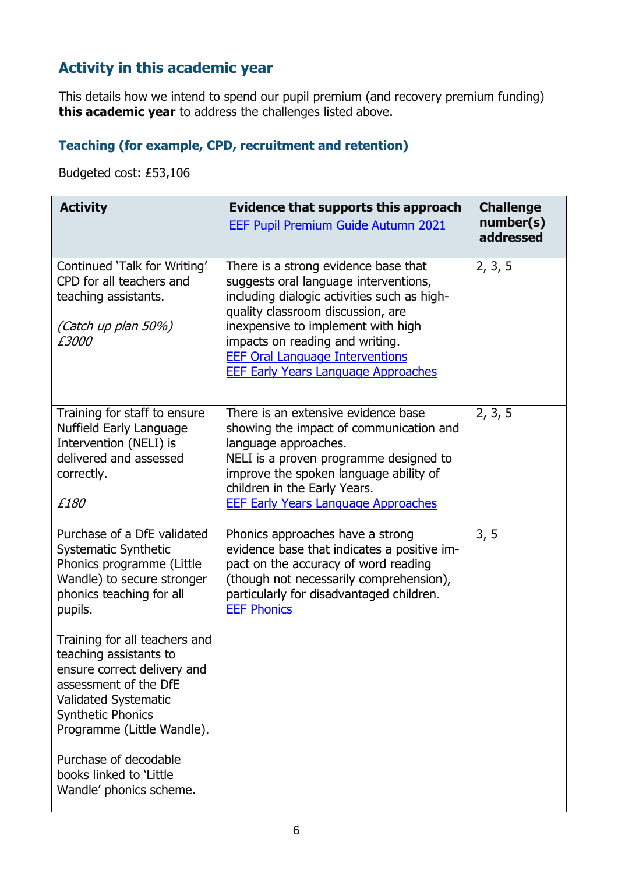## **Activity in this academic year**

This details how we intend to spend our pupil premium (and recovery premium funding) **this academic year** to address the challenges listed above.

#### **Teaching (for example, CPD, recruitment and retention)**

Budgeted cost: £53,106

| <b>Activity</b>                                                                                                                                                                                   | Evidence that supports this approach<br><b>EEF Pupil Premium Guide Autumn 2021</b>                                                                                                                                                                                                                                                 | <b>Challenge</b><br>number(s)<br>addressed |
|---------------------------------------------------------------------------------------------------------------------------------------------------------------------------------------------------|------------------------------------------------------------------------------------------------------------------------------------------------------------------------------------------------------------------------------------------------------------------------------------------------------------------------------------|--------------------------------------------|
| Continued 'Talk for Writing'<br>CPD for all teachers and<br>teaching assistants.<br>(Catch up plan 50%)<br>£3000                                                                                  | There is a strong evidence base that<br>suggests oral language interventions,<br>including dialogic activities such as high-<br>quality classroom discussion, are<br>inexpensive to implement with high<br>impacts on reading and writing.<br><b>EEF Oral Language Interventions</b><br><b>EEF Early Years Language Approaches</b> | 2, 3, 5                                    |
| Training for staff to ensure<br>Nuffield Early Language<br>Intervention (NELI) is<br>delivered and assessed<br>correctly.<br>£180                                                                 | There is an extensive evidence base<br>showing the impact of communication and<br>language approaches.<br>NELI is a proven programme designed to<br>improve the spoken language ability of<br>children in the Early Years.<br><b>EEF Early Years Language Approaches</b>                                                           | 2, 3, 5                                    |
| Purchase of a DfE validated<br><b>Systematic Synthetic</b><br>Phonics programme (Little<br>Wandle) to secure stronger<br>phonics teaching for all<br>pupils.                                      | Phonics approaches have a strong<br>evidence base that indicates a positive im-<br>pact on the accuracy of word reading<br>(though not necessarily comprehension),<br>particularly for disadvantaged children.<br><b>EEF Phonics</b>                                                                                               | 3, 5                                       |
| Training for all teachers and<br>teaching assistants to<br>ensure correct delivery and<br>assessment of the DfE<br>Validated Systematic<br><b>Synthetic Phonics</b><br>Programme (Little Wandle). |                                                                                                                                                                                                                                                                                                                                    |                                            |
| Purchase of decodable<br>books linked to 'Little<br>Wandle' phonics scheme.                                                                                                                       |                                                                                                                                                                                                                                                                                                                                    |                                            |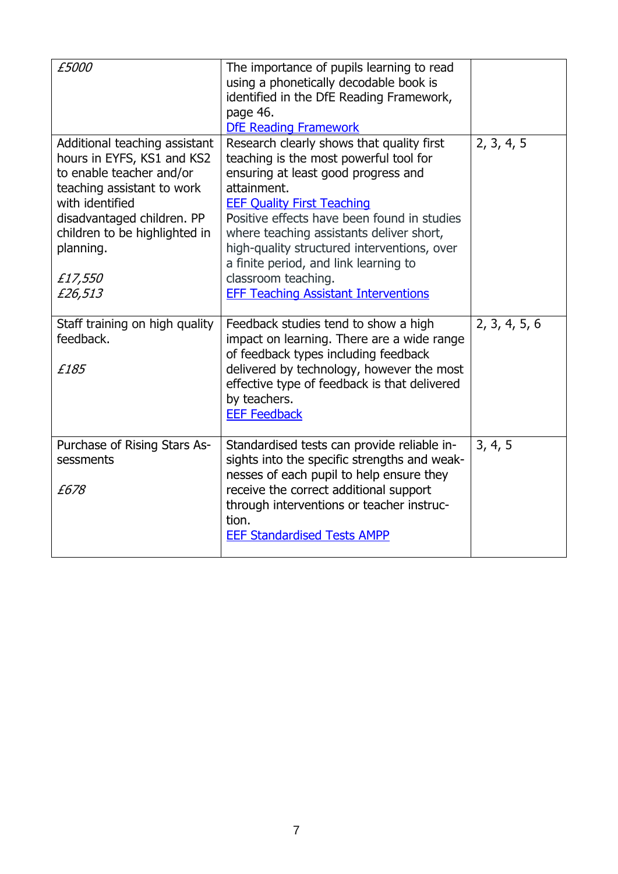| £5000                                                                                                                                                                                                                                      | The importance of pupils learning to read<br>using a phonetically decodable book is<br>identified in the DfE Reading Framework,<br>page 46.<br><b>DfE Reading Framework</b>                                                                                                                                                                                                                                                             |               |
|--------------------------------------------------------------------------------------------------------------------------------------------------------------------------------------------------------------------------------------------|-----------------------------------------------------------------------------------------------------------------------------------------------------------------------------------------------------------------------------------------------------------------------------------------------------------------------------------------------------------------------------------------------------------------------------------------|---------------|
| Additional teaching assistant<br>hours in EYFS, KS1 and KS2<br>to enable teacher and/or<br>teaching assistant to work<br>with identified<br>disadvantaged children. PP<br>children to be highlighted in<br>planning.<br>£17,550<br>£26,513 | Research clearly shows that quality first<br>teaching is the most powerful tool for<br>ensuring at least good progress and<br>attainment.<br><b>EEF Quality First Teaching</b><br>Positive effects have been found in studies<br>where teaching assistants deliver short,<br>high-quality structured interventions, over<br>a finite period, and link learning to<br>classroom teaching.<br><b>EFF Teaching Assistant Interventions</b> | 2, 3, 4, 5    |
| Staff training on high quality<br>feedback.<br>£185                                                                                                                                                                                        | Feedback studies tend to show a high<br>impact on learning. There are a wide range<br>of feedback types including feedback<br>delivered by technology, however the most<br>effective type of feedback is that delivered<br>by teachers.<br><b>EEF Feedback</b>                                                                                                                                                                          | 2, 3, 4, 5, 6 |
| Purchase of Rising Stars As-<br>sessments<br>£678                                                                                                                                                                                          | Standardised tests can provide reliable in-<br>sights into the specific strengths and weak-<br>nesses of each pupil to help ensure they<br>receive the correct additional support<br>through interventions or teacher instruc-<br>tion.<br><b>EEF Standardised Tests AMPP</b>                                                                                                                                                           | 3, 4, 5       |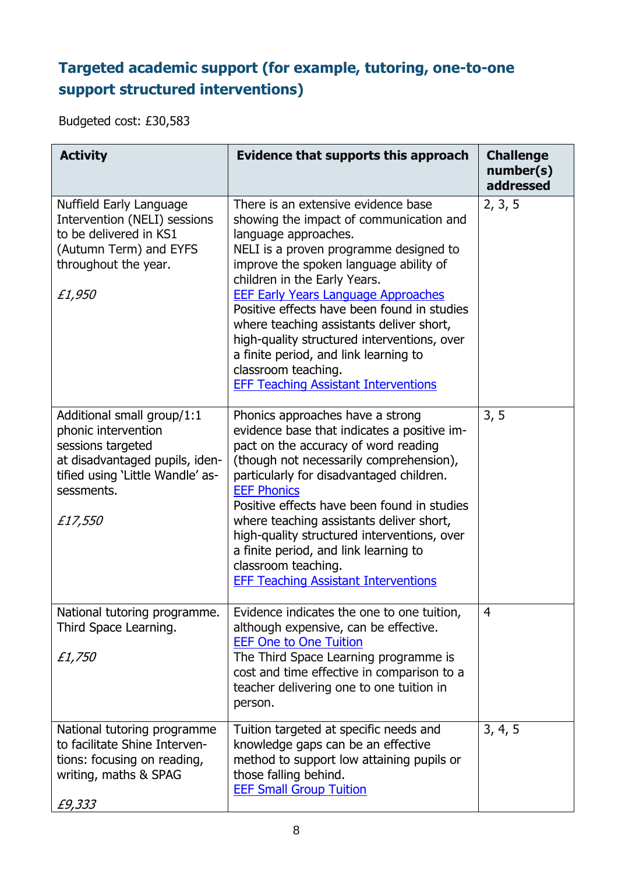# **Targeted academic support (for example, tutoring, one-to-one support structured interventions)**

Budgeted cost: £30,583

| <b>Activity</b>                                                                                                                                                       | Evidence that supports this approach                                                                                                                                                                                                                                                                                                                                                                                                                                                                                              | <b>Challenge</b><br>number(s)<br>addressed |
|-----------------------------------------------------------------------------------------------------------------------------------------------------------------------|-----------------------------------------------------------------------------------------------------------------------------------------------------------------------------------------------------------------------------------------------------------------------------------------------------------------------------------------------------------------------------------------------------------------------------------------------------------------------------------------------------------------------------------|--------------------------------------------|
| Nuffield Early Language<br>Intervention (NELI) sessions<br>to be delivered in KS1<br>(Autumn Term) and EYFS<br>throughout the year.<br>£1,950                         | There is an extensive evidence base<br>showing the impact of communication and<br>language approaches.<br>NELI is a proven programme designed to<br>improve the spoken language ability of<br>children in the Early Years.<br><b>EEF Early Years Language Approaches</b><br>Positive effects have been found in studies<br>where teaching assistants deliver short,<br>high-quality structured interventions, over<br>a finite period, and link learning to<br>classroom teaching.<br><b>EFF Teaching Assistant Interventions</b> | 2, 3, 5                                    |
| Additional small group/1:1<br>phonic intervention<br>sessions targeted<br>at disadvantaged pupils, iden-<br>tified using 'Little Wandle' as-<br>sessments.<br>£17,550 | Phonics approaches have a strong<br>evidence base that indicates a positive im-<br>pact on the accuracy of word reading<br>(though not necessarily comprehension),<br>particularly for disadvantaged children.<br><b>EEF Phonics</b><br>Positive effects have been found in studies<br>where teaching assistants deliver short,<br>high-quality structured interventions, over<br>a finite period, and link learning to<br>classroom teaching.<br><b>EFF Teaching Assistant Interventions</b>                                     | 3, 5                                       |
| National tutoring programme.<br>Third Space Learning.<br>£1,750                                                                                                       | Evidence indicates the one to one tuition,<br>although expensive, can be effective.<br><b>EEF One to One Tuition</b><br>The Third Space Learning programme is<br>cost and time effective in comparison to a<br>teacher delivering one to one tuition in<br>person.                                                                                                                                                                                                                                                                | 4                                          |
| National tutoring programme<br>to facilitate Shine Interven-<br>tions: focusing on reading,<br>writing, maths & SPAG<br>£9,333                                        | Tuition targeted at specific needs and<br>knowledge gaps can be an effective<br>method to support low attaining pupils or<br>those falling behind.<br><b>EEF Small Group Tuition</b>                                                                                                                                                                                                                                                                                                                                              | 3, 4, 5                                    |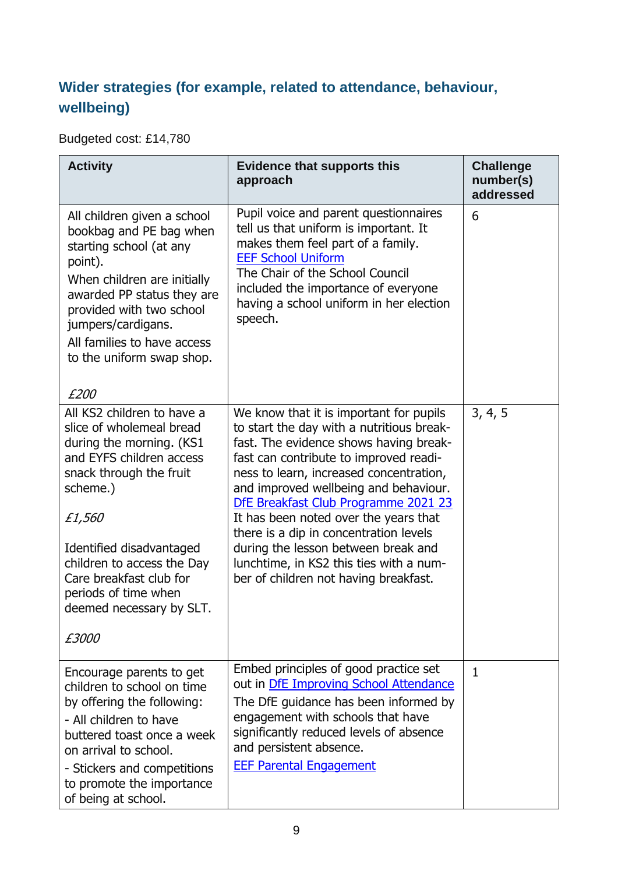## **Wider strategies (for example, related to attendance, behaviour, wellbeing)**

Budgeted cost: £14,780

| <b>Activity</b>                                                                                                                                                                                                                                                                                                          | <b>Evidence that supports this</b><br>approach                                                                                                                                                                                                                                                                                                                                                                                                                                                                     | <b>Challenge</b><br>number(s)<br>addressed |
|--------------------------------------------------------------------------------------------------------------------------------------------------------------------------------------------------------------------------------------------------------------------------------------------------------------------------|--------------------------------------------------------------------------------------------------------------------------------------------------------------------------------------------------------------------------------------------------------------------------------------------------------------------------------------------------------------------------------------------------------------------------------------------------------------------------------------------------------------------|--------------------------------------------|
| All children given a school<br>bookbag and PE bag when<br>starting school (at any<br>point).<br>When children are initially<br>awarded PP status they are<br>provided with two school<br>jumpers/cardigans.<br>All families to have access<br>to the uniform swap shop.<br>£200                                          | Pupil voice and parent questionnaires<br>tell us that uniform is important. It<br>makes them feel part of a family.<br><b>EEF School Uniform</b><br>The Chair of the School Council<br>included the importance of everyone<br>having a school uniform in her election<br>speech.                                                                                                                                                                                                                                   | 6                                          |
| All KS2 children to have a<br>slice of wholemeal bread<br>during the morning. (KS1<br>and EYFS children access<br>snack through the fruit<br>scheme.)<br>£1,560<br>Identified disadvantaged<br>children to access the Day<br>Care breakfast club for<br>periods of time when<br>deemed necessary by SLT.<br><i>£3000</i> | We know that it is important for pupils<br>to start the day with a nutritious break-<br>fast. The evidence shows having break-<br>fast can contribute to improved readi-<br>ness to learn, increased concentration,<br>and improved wellbeing and behaviour.<br>DfE Breakfast Club Programme 2021 23<br>It has been noted over the years that<br>there is a dip in concentration levels<br>during the lesson between break and<br>lunchtime, in KS2 this ties with a num-<br>ber of children not having breakfast. | 3, 4, 5                                    |
| Encourage parents to get<br>children to school on time<br>by offering the following:<br>- All children to have<br>buttered toast once a week<br>on arrival to school.<br>- Stickers and competitions<br>to promote the importance<br>of being at school.                                                                 | Embed principles of good practice set<br>out in DfE Improving School Attendance<br>The DfE guidance has been informed by<br>engagement with schools that have<br>significantly reduced levels of absence<br>and persistent absence.<br><b>EEF Parental Engagement</b>                                                                                                                                                                                                                                              | $\mathbf{1}$                               |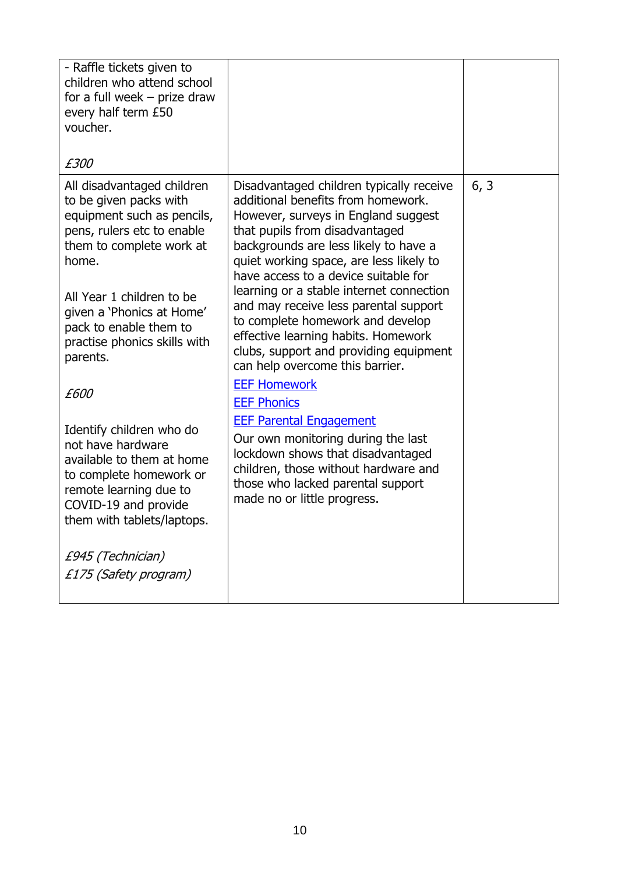| - Raffle tickets given to<br>children who attend school<br>for a full week $-$ prize draw<br>every half term £50<br>voucher.<br>£300                                                                                                                                                                                                                                                                                                                                                                                                 |                                                                                                                                                                                                                                                                                                                                                                                                                                                                                                                                                                                                                                                                                                                                                                                                        |      |
|--------------------------------------------------------------------------------------------------------------------------------------------------------------------------------------------------------------------------------------------------------------------------------------------------------------------------------------------------------------------------------------------------------------------------------------------------------------------------------------------------------------------------------------|--------------------------------------------------------------------------------------------------------------------------------------------------------------------------------------------------------------------------------------------------------------------------------------------------------------------------------------------------------------------------------------------------------------------------------------------------------------------------------------------------------------------------------------------------------------------------------------------------------------------------------------------------------------------------------------------------------------------------------------------------------------------------------------------------------|------|
| All disadvantaged children<br>to be given packs with<br>equipment such as pencils,<br>pens, rulers etc to enable<br>them to complete work at<br>home.<br>All Year 1 children to be<br>given a 'Phonics at Home'<br>pack to enable them to<br>practise phonics skills with<br>parents.<br>£600<br>Identify children who do<br>not have hardware<br>available to them at home<br>to complete homework or<br>remote learning due to<br>COVID-19 and provide<br>them with tablets/laptops.<br>£945 (Technician)<br>£175 (Safety program) | Disadvantaged children typically receive<br>additional benefits from homework.<br>However, surveys in England suggest<br>that pupils from disadvantaged<br>backgrounds are less likely to have a<br>quiet working space, are less likely to<br>have access to a device suitable for<br>learning or a stable internet connection<br>and may receive less parental support<br>to complete homework and develop<br>effective learning habits. Homework<br>clubs, support and providing equipment<br>can help overcome this barrier.<br><b>EEF Homework</b><br><b>EEF Phonics</b><br><b>EEF Parental Engagement</b><br>Our own monitoring during the last<br>lockdown shows that disadvantaged<br>children, those without hardware and<br>those who lacked parental support<br>made no or little progress. | 6, 3 |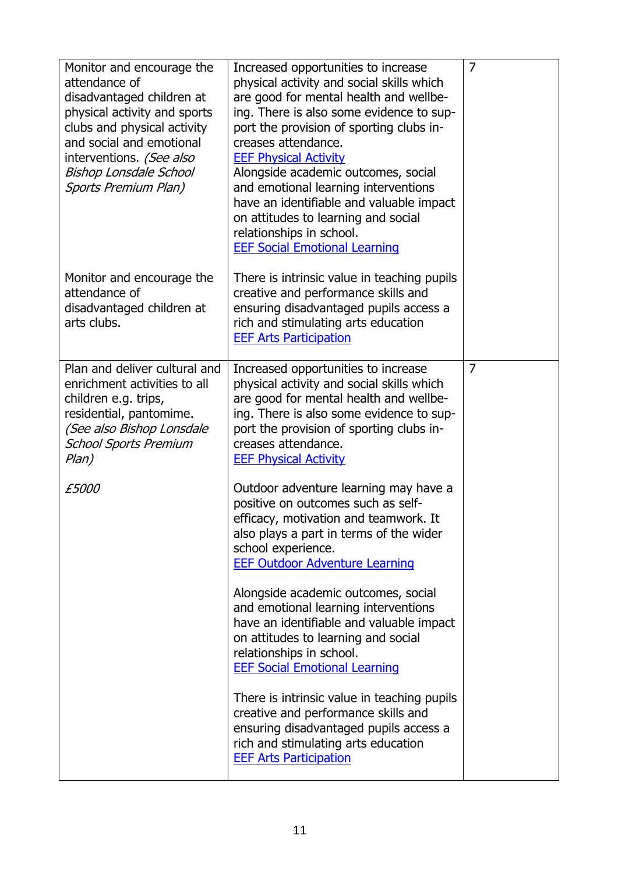| Monitor and encourage the<br>attendance of<br>disadvantaged children at<br>physical activity and sports<br>clubs and physical activity<br>and social and emotional<br>interventions. (See also<br>Bishop Lonsdale School<br>Sports Premium Plan) | Increased opportunities to increase<br>physical activity and social skills which<br>are good for mental health and wellbe-<br>ing. There is also some evidence to sup-<br>port the provision of sporting clubs in-<br>creases attendance.<br><b>EEF Physical Activity</b><br>Alongside academic outcomes, social<br>and emotional learning interventions<br>have an identifiable and valuable impact<br>on attitudes to learning and social<br>relationships in school.<br><b>EEF Social Emotional Learning</b> | $\overline{7}$ |
|--------------------------------------------------------------------------------------------------------------------------------------------------------------------------------------------------------------------------------------------------|-----------------------------------------------------------------------------------------------------------------------------------------------------------------------------------------------------------------------------------------------------------------------------------------------------------------------------------------------------------------------------------------------------------------------------------------------------------------------------------------------------------------|----------------|
| Monitor and encourage the<br>attendance of<br>disadvantaged children at<br>arts clubs.                                                                                                                                                           | There is intrinsic value in teaching pupils<br>creative and performance skills and<br>ensuring disadvantaged pupils access a<br>rich and stimulating arts education<br><b>EEF Arts Participation</b>                                                                                                                                                                                                                                                                                                            |                |
| Plan and deliver cultural and<br>enrichment activities to all<br>children e.g. trips,<br>residential, pantomime.<br>(See also Bishop Lonsdale<br><b>School Sports Premium</b><br>Plan)                                                           | Increased opportunities to increase<br>physical activity and social skills which<br>are good for mental health and wellbe-<br>ing. There is also some evidence to sup-<br>port the provision of sporting clubs in-<br>creases attendance.<br><b>EEF Physical Activity</b>                                                                                                                                                                                                                                       | $\overline{7}$ |
| <i>£5000</i>                                                                                                                                                                                                                                     | Outdoor adventure learning may have a<br>positive on outcomes such as self-<br>efficacy, motivation and teamwork. It<br>also plays a part in terms of the wider<br>school experience.<br><b>EEF Outdoor Adventure Learning</b>                                                                                                                                                                                                                                                                                  |                |
|                                                                                                                                                                                                                                                  | Alongside academic outcomes, social<br>and emotional learning interventions<br>have an identifiable and valuable impact<br>on attitudes to learning and social<br>relationships in school.<br><b>EEF Social Emotional Learning</b>                                                                                                                                                                                                                                                                              |                |
|                                                                                                                                                                                                                                                  | There is intrinsic value in teaching pupils<br>creative and performance skills and<br>ensuring disadvantaged pupils access a<br>rich and stimulating arts education<br><b>EEF Arts Participation</b>                                                                                                                                                                                                                                                                                                            |                |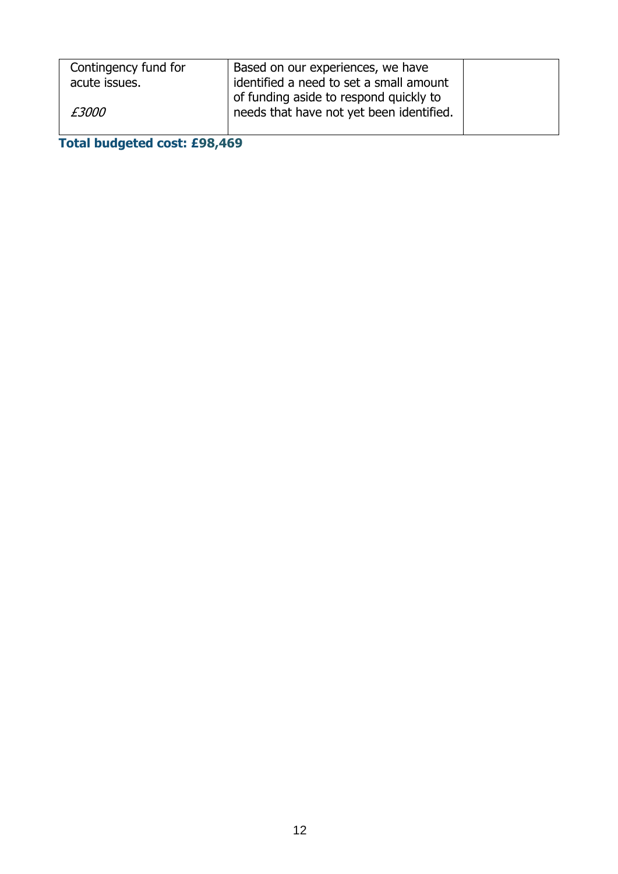| Contingency fund for<br>acute issues. | Based on our experiences, we have<br>identified a need to set a small amount |  |
|---------------------------------------|------------------------------------------------------------------------------|--|
|                                       | of funding aside to respond quickly to                                       |  |
| <i>£3000</i>                          | needs that have not yet been identified.                                     |  |

# **Total budgeted cost: £98,469**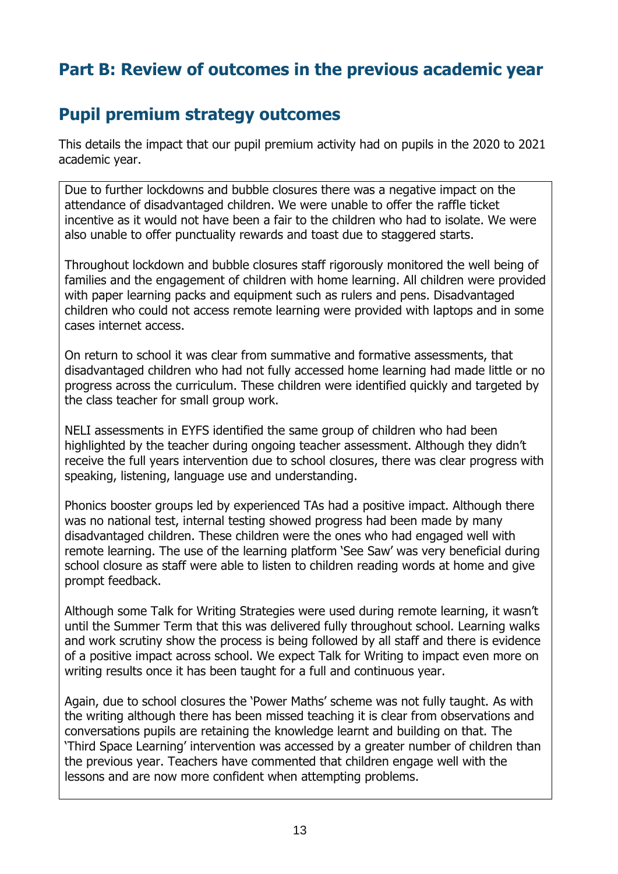# **Part B: Review of outcomes in the previous academic year**

## **Pupil premium strategy outcomes**

This details the impact that our pupil premium activity had on pupils in the 2020 to 2021 academic year.

Due to further lockdowns and bubble closures there was a negative impact on the attendance of disadvantaged children. We were unable to offer the raffle ticket incentive as it would not have been a fair to the children who had to isolate. We were also unable to offer punctuality rewards and toast due to staggered starts.

Throughout lockdown and bubble closures staff rigorously monitored the well being of families and the engagement of children with home learning. All children were provided with paper learning packs and equipment such as rulers and pens. Disadvantaged children who could not access remote learning were provided with laptops and in some cases internet access.

On return to school it was clear from summative and formative assessments, that disadvantaged children who had not fully accessed home learning had made little or no progress across the curriculum. These children were identified quickly and targeted by the class teacher for small group work.

NELI assessments in EYFS identified the same group of children who had been highlighted by the teacher during ongoing teacher assessment. Although they didn't receive the full years intervention due to school closures, there was clear progress with speaking, listening, language use and understanding.

Phonics booster groups led by experienced TAs had a positive impact. Although there was no national test, internal testing showed progress had been made by many disadvantaged children. These children were the ones who had engaged well with remote learning. The use of the learning platform 'See Saw' was very beneficial during school closure as staff were able to listen to children reading words at home and give prompt feedback.

Although some Talk for Writing Strategies were used during remote learning, it wasn't until the Summer Term that this was delivered fully throughout school. Learning walks and work scrutiny show the process is being followed by all staff and there is evidence of a positive impact across school. We expect Talk for Writing to impact even more on writing results once it has been taught for a full and continuous year.

Again, due to school closures the 'Power Maths' scheme was not fully taught. As with the writing although there has been missed teaching it is clear from observations and conversations pupils are retaining the knowledge learnt and building on that. The 'Third Space Learning' intervention was accessed by a greater number of children than the previous year. Teachers have commented that children engage well with the lessons and are now more confident when attempting problems.